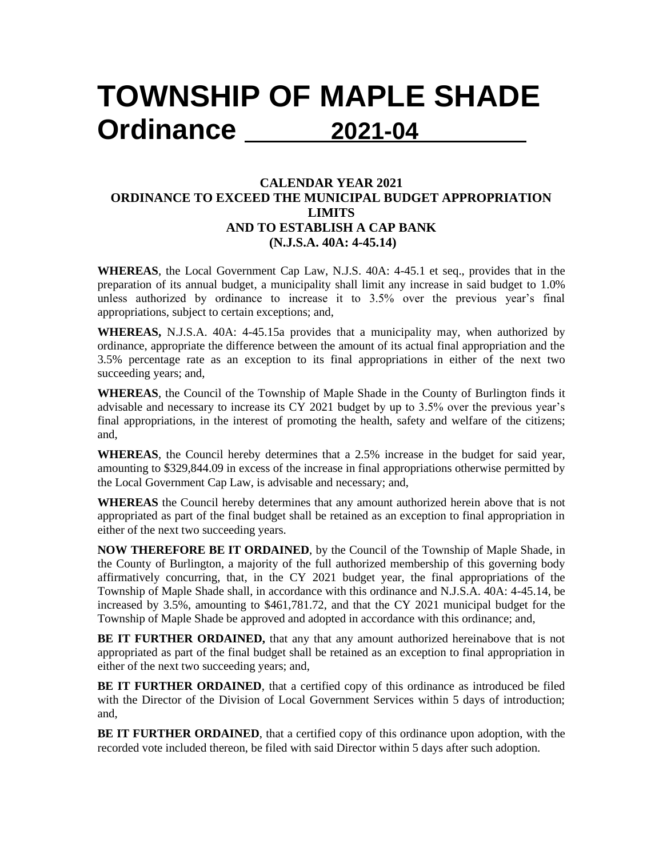## **TOWNSHIP OF MAPLE SHADE Ordinance 2021-04**

## **CALENDAR YEAR 2021 ORDINANCE TO EXCEED THE MUNICIPAL BUDGET APPROPRIATION LIMITS AND TO ESTABLISH A CAP BANK (N.J.S.A. 40A: 4-45.14)**

**WHEREAS**, the Local Government Cap Law, N.J.S. 40A: 4-45.1 et seq., provides that in the preparation of its annual budget, a municipality shall limit any increase in said budget to 1.0% unless authorized by ordinance to increase it to 3.5% over the previous year's final appropriations, subject to certain exceptions; and,

**WHEREAS,** N.J.S.A. 40A: 4-45.15a provides that a municipality may, when authorized by ordinance, appropriate the difference between the amount of its actual final appropriation and the 3.5% percentage rate as an exception to its final appropriations in either of the next two succeeding years; and,

**WHEREAS**, the Council of the Township of Maple Shade in the County of Burlington finds it advisable and necessary to increase its CY 2021 budget by up to 3.5% over the previous year's final appropriations, in the interest of promoting the health, safety and welfare of the citizens; and,

**WHEREAS**, the Council hereby determines that a 2.5% increase in the budget for said year, amounting to \$329,844.09 in excess of the increase in final appropriations otherwise permitted by the Local Government Cap Law, is advisable and necessary; and,

**WHEREAS** the Council hereby determines that any amount authorized herein above that is not appropriated as part of the final budget shall be retained as an exception to final appropriation in either of the next two succeeding years.

**NOW THEREFORE BE IT ORDAINED**, by the Council of the Township of Maple Shade, in the County of Burlington, a majority of the full authorized membership of this governing body affirmatively concurring, that, in the CY 2021 budget year, the final appropriations of the Township of Maple Shade shall, in accordance with this ordinance and N.J.S.A. 40A: 4-45.14, be increased by 3.5%, amounting to \$461,781.72, and that the CY 2021 municipal budget for the Township of Maple Shade be approved and adopted in accordance with this ordinance; and,

**BE IT FURTHER ORDAINED,** that any that any amount authorized hereinabove that is not appropriated as part of the final budget shall be retained as an exception to final appropriation in either of the next two succeeding years; and,

**BE IT FURTHER ORDAINED**, that a certified copy of this ordinance as introduced be filed with the Director of the Division of Local Government Services within 5 days of introduction; and,

**BE IT FURTHER ORDAINED**, that a certified copy of this ordinance upon adoption, with the recorded vote included thereon, be filed with said Director within 5 days after such adoption.